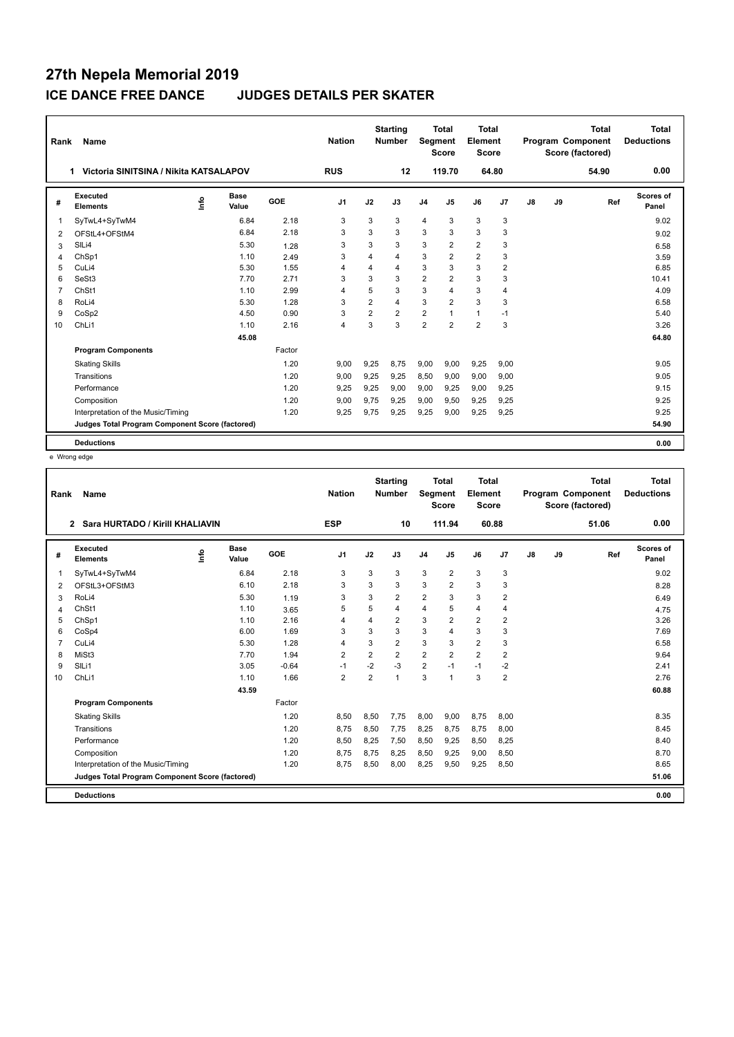| Rank           | Name                                            |      |                      |        | <b>Nation</b>  |                | <b>Starting</b><br><b>Number</b> | Segment        | <b>Total</b><br><b>Score</b> | <b>Total</b><br>Element<br><b>Score</b> |                |               |    | <b>Total</b><br>Program Component<br>Score (factored) | <b>Total</b><br><b>Deductions</b> |
|----------------|-------------------------------------------------|------|----------------------|--------|----------------|----------------|----------------------------------|----------------|------------------------------|-----------------------------------------|----------------|---------------|----|-------------------------------------------------------|-----------------------------------|
|                | Victoria SINITSINA / Nikita KATSALAPOV<br>1.    |      |                      |        |                |                | 12                               |                | 119.70                       | 64.80                                   |                |               |    | 54.90                                                 | 0.00                              |
| #              | Executed<br><b>Elements</b>                     | Info | <b>Base</b><br>Value | GOE    | J <sub>1</sub> | J2             | J3                               | J <sub>4</sub> | J <sub>5</sub>               | J6                                      | J7             | $\mathsf{J}8$ | J9 | Ref                                                   | <b>Scores of</b><br>Panel         |
| $\mathbf{1}$   | SyTwL4+SyTwM4                                   |      | 6.84                 | 2.18   | 3              | 3              | 3                                | 4              | 3                            | 3                                       | 3              |               |    |                                                       | 9.02                              |
| $\overline{2}$ | OFStL4+OFStM4                                   |      | 6.84                 | 2.18   | 3              | 3              | 3                                | 3              | 3                            | 3                                       | 3              |               |    |                                                       | 9.02                              |
| 3              | SIL <sub>i4</sub>                               |      | 5.30                 | 1.28   | 3              | 3              | 3                                | 3              | $\overline{2}$               | $\overline{2}$                          | 3              |               |    |                                                       | 6.58                              |
| 4              | ChSp1                                           |      | 1.10                 | 2.49   | 3              | 4              | 4                                | 3              | $\overline{2}$               | $\overline{2}$                          | 3              |               |    |                                                       | 3.59                              |
| 5              | CuLi4                                           |      | 5.30                 | 1.55   | $\overline{4}$ | $\overline{4}$ | 4                                | 3              | 3                            | 3                                       | $\overline{2}$ |               |    |                                                       | 6.85                              |
| 6              | SeSt3                                           |      | 7.70                 | 2.71   | 3              | 3              | 3                                | $\overline{2}$ | $\overline{2}$               | 3                                       | 3              |               |    |                                                       | 10.41                             |
| $\overline{7}$ | ChSt1                                           |      | 1.10                 | 2.99   | $\overline{4}$ | 5              | 3                                | 3              | $\overline{4}$               | 3                                       | $\overline{4}$ |               |    |                                                       | 4.09                              |
| 8              | RoLi4                                           |      | 5.30                 | 1.28   | 3              | $\overline{2}$ | 4                                | 3              | $\overline{2}$               | 3                                       | 3              |               |    |                                                       | 6.58                              |
| 9              | CoSp2                                           |      | 4.50                 | 0.90   | 3              | $\overline{2}$ | $\overline{2}$                   | $\overline{2}$ | $\overline{ }$               | $\mathbf{1}$                            | $-1$           |               |    |                                                       | 5.40                              |
| 10             | ChLi1                                           |      | 1.10                 | 2.16   | $\overline{4}$ | 3              | $\mathbf{3}$                     | $\overline{2}$ | $\overline{2}$               | $\overline{2}$                          | 3              |               |    |                                                       | 3.26                              |
|                |                                                 |      | 45.08                |        |                |                |                                  |                |                              |                                         |                |               |    |                                                       | 64.80                             |
|                | <b>Program Components</b>                       |      |                      | Factor |                |                |                                  |                |                              |                                         |                |               |    |                                                       |                                   |
|                | <b>Skating Skills</b>                           |      |                      | 1.20   | 9.00           | 9,25           | 8.75                             | 9,00           | 9,00                         | 9,25                                    | 9,00           |               |    |                                                       | 9.05                              |
|                | Transitions                                     |      |                      | 1.20   | 9,00           | 9,25           | 9.25                             | 8,50           | 9.00                         | 9.00                                    | 9,00           |               |    |                                                       | 9.05                              |
|                | Performance                                     |      |                      | 1.20   | 9.25           | 9,25           | 9.00                             | 9,00           | 9.25                         | 9.00                                    | 9,25           |               |    |                                                       | 9.15                              |
|                | Composition                                     |      |                      | 1.20   | 9,00           | 9,75           | 9,25                             | 9,00           | 9,50                         | 9,25                                    | 9,25           |               |    |                                                       | 9.25                              |
|                | Interpretation of the Music/Timing              |      |                      | 1.20   | 9,25           | 9,75           | 9,25                             | 9,25           | 9,00                         | 9,25                                    | 9,25           |               |    |                                                       | 9.25                              |
|                | Judges Total Program Component Score (factored) |      |                      |        |                |                |                                  |                |                              |                                         |                |               |    |                                                       | 54.90                             |
|                | <b>Deductions</b>                               |      |                      |        |                |                |                                  |                |                              |                                         |                |               |    |                                                       | 0.00                              |

e Wrong edge

| Rank           | Name                                            |      |                      |            | <b>Nation</b>  |                | <b>Starting</b><br><b>Number</b> | Segment        | <b>Total</b><br><b>Score</b> | <b>Total</b><br>Element<br><b>Score</b> |                |    |    | <b>Total</b><br><b>Program Component</b><br>Score (factored) | <b>Total</b><br><b>Deductions</b> |
|----------------|-------------------------------------------------|------|----------------------|------------|----------------|----------------|----------------------------------|----------------|------------------------------|-----------------------------------------|----------------|----|----|--------------------------------------------------------------|-----------------------------------|
|                | Sara HURTADO / Kirill KHALIAVIN<br>$\mathbf{2}$ |      |                      |            | <b>ESP</b>     |                | 10                               |                | 111.94                       | 60.88                                   |                |    |    | 51.06                                                        | 0.00                              |
| #              | Executed<br><b>Elements</b>                     | lnfo | <b>Base</b><br>Value | <b>GOE</b> | J <sub>1</sub> | J2             | J3                               | J <sub>4</sub> | J <sub>5</sub>               | J6                                      | J7             | J8 | J9 | Ref                                                          | <b>Scores of</b><br>Panel         |
| 1              | SyTwL4+SyTwM4                                   |      | 6.84                 | 2.18       | 3              | 3              | 3                                | 3              | $\overline{2}$               | 3                                       | 3              |    |    |                                                              | 9.02                              |
| 2              | OFStL3+OFStM3                                   |      | 6.10                 | 2.18       | 3              | 3              | 3                                | 3              | $\overline{2}$               | 3                                       | 3              |    |    |                                                              | 8.28                              |
| 3              | RoLi4                                           |      | 5.30                 | 1.19       | 3              | 3              | 2                                | $\overline{2}$ | 3                            | 3                                       | 2              |    |    |                                                              | 6.49                              |
| 4              | ChSt1                                           |      | 1.10                 | 3.65       | 5              | 5              | 4                                | $\overline{4}$ | 5                            | 4                                       | 4              |    |    |                                                              | 4.75                              |
| 5              | ChSp1                                           |      | 1.10                 | 2.16       | 4              | 4              | $\overline{2}$                   | 3              | $\overline{2}$               | $\overline{2}$                          | $\overline{2}$ |    |    |                                                              | 3.26                              |
| 6              | CoSp4                                           |      | 6.00                 | 1.69       | 3              | 3              | 3                                | 3              | 4                            | 3                                       | 3              |    |    |                                                              | 7.69                              |
| $\overline{7}$ | CuLi4                                           |      | 5.30                 | 1.28       | $\overline{4}$ | 3              | $\overline{2}$                   | 3              | 3                            | $\overline{2}$                          | 3              |    |    |                                                              | 6.58                              |
| 8              | MiSt <sub>3</sub>                               |      | 7.70                 | 1.94       | $\overline{2}$ | $\overline{2}$ | $\overline{2}$                   | $\overline{2}$ | $\overline{2}$               | $\overline{2}$                          | 2              |    |    |                                                              | 9.64                              |
| 9              | SILi1                                           |      | 3.05                 | $-0.64$    | $-1$           | $-2$           | $-3$                             | $\overline{2}$ | $-1$                         | $-1$                                    | $-2$           |    |    |                                                              | 2.41                              |
| 10             | ChLi1                                           |      | 1.10                 | 1.66       | $\overline{2}$ | $\overline{2}$ | 1                                | 3              | 1                            | 3                                       | $\overline{2}$ |    |    |                                                              | 2.76                              |
|                |                                                 |      | 43.59                |            |                |                |                                  |                |                              |                                         |                |    |    |                                                              | 60.88                             |
|                | <b>Program Components</b>                       |      |                      | Factor     |                |                |                                  |                |                              |                                         |                |    |    |                                                              |                                   |
|                | <b>Skating Skills</b>                           |      |                      | 1.20       | 8,50           | 8,50           | 7.75                             | 8,00           | 9,00                         | 8,75                                    | 8,00           |    |    |                                                              | 8.35                              |
|                | Transitions                                     |      |                      | 1.20       | 8,75           | 8,50           | 7.75                             | 8,25           | 8,75                         | 8,75                                    | 8,00           |    |    |                                                              | 8.45                              |
|                | Performance                                     |      |                      | 1.20       | 8,50           | 8,25           | 7,50                             | 8,50           | 9,25                         | 8,50                                    | 8,25           |    |    |                                                              | 8.40                              |
|                | Composition                                     |      |                      | 1.20       | 8,75           | 8,75           | 8,25                             | 8,50           | 9,25                         | 9,00                                    | 8,50           |    |    |                                                              | 8.70                              |
|                | Interpretation of the Music/Timing              |      |                      | 1.20       | 8,75           | 8,50           | 8,00                             | 8,25           | 9,50                         | 9,25                                    | 8,50           |    |    |                                                              | 8.65                              |
|                | Judges Total Program Component Score (factored) |      |                      |            |                |                |                                  |                |                              |                                         |                |    |    |                                                              | 51.06                             |
|                | <b>Deductions</b>                               |      |                      |            |                |                |                                  |                |                              |                                         |                |    |    |                                                              | 0.00                              |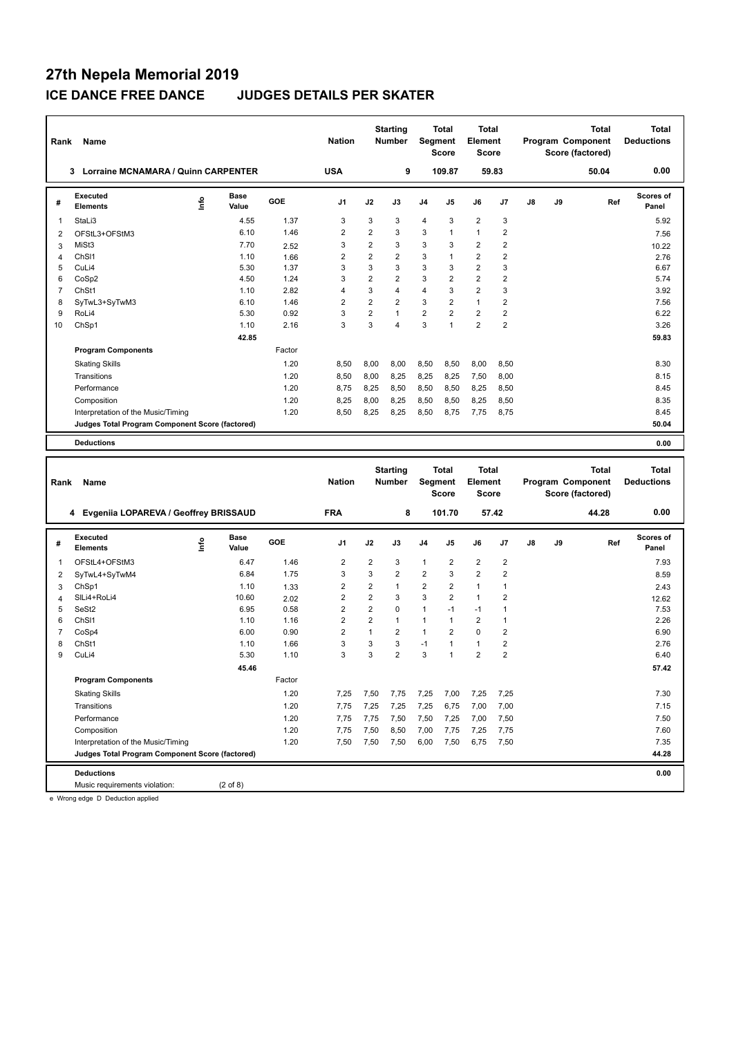| Rank           | Name                                               |      |               |            | <b>Nation</b>           |                         | <b>Starting</b><br><b>Number</b> | Segment        | Total<br><b>Score</b> | <b>Total</b><br><b>Element</b><br>Score |                         |    |    | Program Component<br>Score (factored) | <b>Total</b> | <b>Total</b><br><b>Deductions</b> |
|----------------|----------------------------------------------------|------|---------------|------------|-------------------------|-------------------------|----------------------------------|----------------|-----------------------|-----------------------------------------|-------------------------|----|----|---------------------------------------|--------------|-----------------------------------|
|                | 3 Lorraine MCNAMARA / Quinn CARPENTER              |      |               |            | <b>USA</b>              |                         | 9                                |                | 109.87                |                                         | 59.83                   |    |    |                                       | 50.04        | 0.00                              |
| #              | Executed<br><b>Elements</b>                        | ١nf٥ | Base<br>Value | <b>GOE</b> | J1                      | J2                      | J3                               | J4             | J5                    | J6                                      | J7                      | J8 | J9 |                                       | Ref          | <b>Scores of</b><br>Panel         |
| 1              | StaLi3                                             |      | 4.55          | 1.37       | 3                       | 3                       | 3                                | 4              | 3                     | $\overline{2}$                          | 3                       |    |    |                                       |              | 5.92                              |
| 2              | OFStL3+OFStM3                                      |      | 6.10          | 1.46       | $\overline{\mathbf{c}}$ | 2                       | 3                                | 3              | 1                     | $\mathbf{1}$                            | $\overline{\mathbf{c}}$ |    |    |                                       |              | 7.56                              |
| 3              | MiSt3                                              |      | 7.70          | 2.52       | 3                       | $\overline{2}$          | 3                                | 3              | 3                     | $\overline{2}$                          | $\overline{2}$          |    |    |                                       |              | 10.22                             |
| 4              | ChS <sub>11</sub>                                  |      | 1.10          | 1.66       | $\overline{2}$          | $\overline{2}$          | $\overline{2}$                   | 3              | 1                     | $\overline{2}$                          | $\overline{2}$          |    |    |                                       |              | 2.76                              |
| 5              | CuLi4                                              |      | 5.30          | 1.37       | 3                       | 3                       | 3                                | 3              | 3                     | $\overline{2}$                          | 3                       |    |    |                                       |              | 6.67                              |
| 6              | CoSp2                                              |      | 4.50          | 1.24       | 3                       | $\overline{2}$          | $\overline{2}$                   | 3              | $\overline{2}$        | $\overline{2}$                          | $\overline{\mathbf{c}}$ |    |    |                                       |              | 5.74                              |
| $\overline{7}$ | ChSt1                                              |      | 1.10          | 2.82       | 4                       | 3                       | $\overline{4}$                   | $\overline{4}$ | 3                     | $\overline{2}$                          | 3                       |    |    |                                       |              | 3.92                              |
| 8              | SyTwL3+SyTwM3                                      |      | 6.10          | 1.46       | $\overline{2}$          | $\overline{2}$          | $\overline{2}$                   | 3              | 2                     | $\mathbf{1}$                            | $\overline{2}$          |    |    |                                       |              | 7.56                              |
| 9              | RoLi4                                              |      | 5.30          | 0.92       | 3                       | 2                       | $\mathbf{1}$                     | $\overline{2}$ | 2                     | $\overline{2}$                          | $\overline{\mathbf{c}}$ |    |    |                                       |              | 6.22                              |
| 10             | ChSp1                                              |      | 1.10          | 2.16       | 3                       | 3                       | $\overline{4}$                   | 3              | 1                     | $\overline{2}$                          | $\overline{2}$          |    |    |                                       |              | 3.26                              |
|                |                                                    |      | 42.85         |            |                         |                         |                                  |                |                       |                                         |                         |    |    |                                       |              | 59.83                             |
|                | <b>Program Components</b>                          |      |               | Factor     |                         |                         |                                  |                |                       |                                         |                         |    |    |                                       |              |                                   |
|                | <b>Skating Skills</b>                              |      |               | 1.20       | 8,50                    | 8,00                    | 8,00                             | 8,50           | 8,50                  | 8,00                                    | 8,50                    |    |    |                                       |              | 8.30                              |
|                | Transitions                                        |      |               | 1.20       | 8,50                    | 8,00                    | 8,25                             | 8,25           | 8,25                  | 7,50                                    | 8,00                    |    |    |                                       |              | 8.15                              |
|                | Performance                                        |      |               | 1.20       | 8,75                    | 8,25                    | 8,50                             | 8,50           | 8,50                  | 8,25                                    | 8,50                    |    |    |                                       |              | 8.45                              |
|                | Composition                                        |      |               | 1.20       | 8,25                    | 8,00                    | 8,25                             | 8,50           | 8,50                  | 8,25                                    | 8,50                    |    |    |                                       |              | 8.35                              |
|                | Interpretation of the Music/Timing                 |      |               | 1.20       | 8,50                    | 8,25                    | 8,25                             | 8,50           | 8,75                  | 7,75                                    | 8,75                    |    |    |                                       |              | 8.45                              |
|                | Judges Total Program Component Score (factored)    |      |               |            |                         |                         |                                  |                |                       |                                         |                         |    |    |                                       |              | 50.04                             |
|                | <b>Deductions</b>                                  |      |               |            |                         |                         |                                  |                |                       |                                         |                         |    |    |                                       |              | 0.00                              |
|                |                                                    |      |               |            |                         |                         |                                  |                |                       |                                         |                         |    |    |                                       |              |                                   |
|                |                                                    |      |               |            |                         |                         | <b>Starting</b>                  |                | Total                 | <b>Total</b>                            |                         |    |    |                                       | <b>Total</b> | <b>Total</b>                      |
| Rank           | Name                                               |      |               |            | <b>Nation</b>           |                         | <b>Number</b>                    | Segment        | <b>Score</b>          | <b>Element</b><br>Score                 |                         |    |    | Program Component<br>Score (factored) |              | <b>Deductions</b>                 |
|                | 4 Evgeniia LOPAREVA / Geoffrey BRISSAUD            |      |               |            | <b>FRA</b>              |                         | 8                                |                | 101.70                |                                         | 57.42                   |    |    |                                       | 44.28        | 0.00                              |
|                |                                                    |      |               |            |                         |                         |                                  |                |                       |                                         |                         |    |    |                                       |              |                                   |
| #              | <b>Executed</b><br><b>Elements</b>                 | lnfo | Base<br>Value | GOE        | J1                      | J2                      | J3                               | J4             | J5                    | J6                                      | J7                      | J8 | J9 |                                       | Ref          | <b>Scores of</b><br>Panel         |
| 1              | OFStL4+OFStM3                                      |      | 6.47          | 1.46       | 2                       | 2                       | 3                                | 1              | 2                     | $\overline{\mathbf{c}}$                 | 2                       |    |    |                                       |              | 7.93                              |
| 2              | SyTwL4+SyTwM4                                      |      | 6.84          | 1.75       | 3                       | 3                       | $\overline{2}$                   | $\overline{2}$ | 3                     | $\overline{2}$                          | $\overline{2}$          |    |    |                                       |              | 8.59                              |
| 3              | ChSp1                                              |      | 1.10          | 1.33       | 2                       | $\overline{\mathbf{c}}$ | $\mathbf{1}$                     | 2              | 2                     | $\mathbf{1}$                            | 1                       |    |    |                                       |              | 2.43                              |
| 4              | SILi4+RoLi4                                        |      | 10.60         | 2.02       | 2                       | 2                       | 3                                | 3              | 2                     | $\mathbf{1}$                            | $\overline{2}$          |    |    |                                       |              | 12.62                             |
| 5              | SeSt2                                              |      | 6.95          | 0.58       | $\overline{2}$          | $\overline{2}$          | $\mathbf 0$                      | $\mathbf{1}$   | $-1$                  | $-1$                                    | $\mathbf{1}$            |    |    |                                       |              | 7.53                              |
| 6              | ChSI1                                              |      | 1.10          | 1.16       | 2                       | $\overline{2}$          | $\mathbf{1}$                     | $\mathbf{1}$   | $\mathbf{1}$          | $\overline{2}$                          | $\mathbf{1}$            |    |    |                                       |              | 2.26                              |
| $\overline{7}$ | CoSp4                                              |      | 6.00          | 0.90       | $\overline{2}$          | 1                       | $\overline{2}$                   | 1              | 2                     | $\mathbf 0$                             | $\overline{\mathbf{c}}$ |    |    |                                       |              | 6.90                              |
| 8              | ChSt1                                              |      | 1.10          | 1.66       | 3                       | 3                       | 3                                | $-1$           | 1                     | $\mathbf{1}$                            | $\overline{\mathbf{c}}$ |    |    |                                       |              | 2.76                              |
| 9              | CuLi4                                              |      | 5.30          | 1.10       | 3                       | 3                       | $\overline{2}$                   | 3              | 1                     | $\overline{2}$                          | $\overline{2}$          |    |    |                                       |              | 6.40                              |
|                |                                                    |      | 45.46         |            |                         |                         |                                  |                |                       |                                         |                         |    |    |                                       |              | 57.42                             |
|                | <b>Program Components</b>                          |      |               | Factor     |                         |                         |                                  |                |                       |                                         |                         |    |    |                                       |              |                                   |
|                | <b>Skating Skills</b>                              |      |               | 1.20       | 7,25                    | 7,50                    | 7,75                             | 7,25           | 7,00                  | 7,25                                    | 7,25                    |    |    |                                       |              | 7.30                              |
|                | Transitions                                        |      |               | 1.20       | 7,75                    | 7,25                    | 7,25                             | 7,25           | 6,75                  | 7,00                                    | 7,00                    |    |    |                                       |              | 7.15                              |
|                | Performance                                        |      |               | 1.20       | 7,75                    | 7,75                    | 7,50                             | 7,50           | 7,25                  | 7,00                                    | 7,50                    |    |    |                                       |              | 7.50                              |
|                | Composition                                        |      |               | 1.20       | 7,75                    | 7,50                    | 8,50                             | 7,00           | 7,75                  | 7,25                                    | 7,75                    |    |    |                                       |              | 7.60                              |
|                | Interpretation of the Music/Timing                 |      |               | 1.20       | 7,50                    | 7,50                    | 7,50                             | 6,00           | 7,50                  | 6,75                                    | 7,50                    |    |    |                                       |              | 7.35                              |
|                | Judges Total Program Component Score (factored)    |      |               |            |                         |                         |                                  |                |                       |                                         |                         |    |    |                                       |              | 44.28                             |
|                | <b>Deductions</b><br>Music requirements violation: |      |               |            |                         |                         |                                  |                |                       |                                         |                         |    |    |                                       |              | 0.00                              |

e Wrong edge D Deduction applied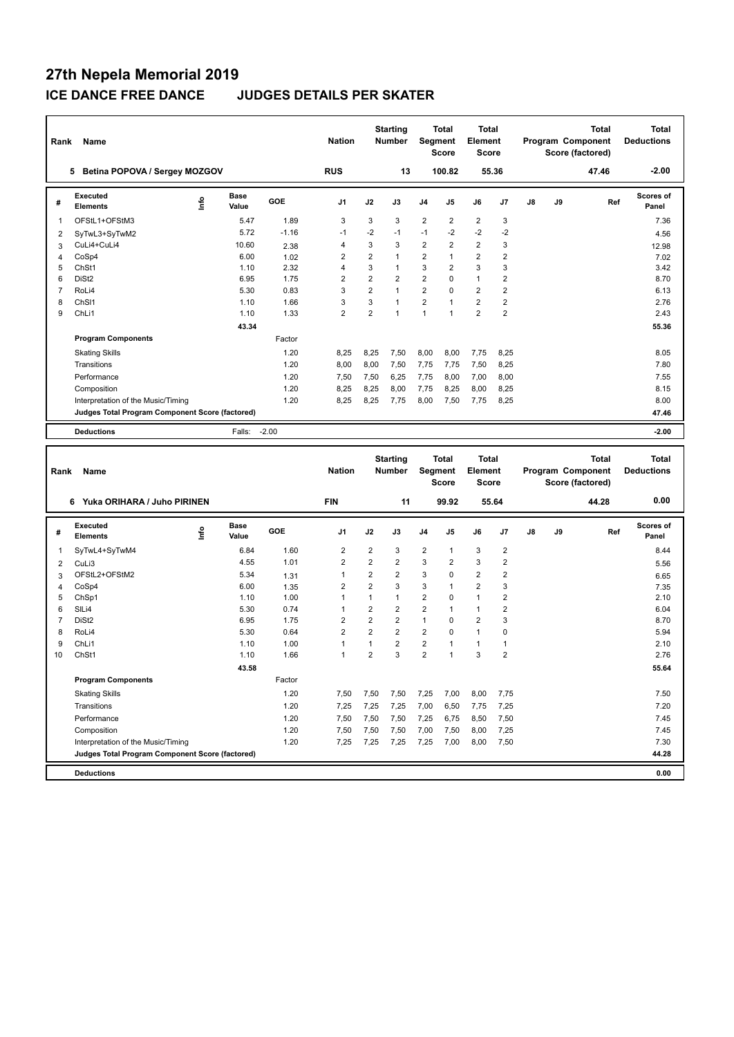| Rank           | Name                                            |      |                      |            | <b>Nation</b>  |                | <b>Starting</b><br><b>Number</b> | Segment        | <b>Total</b><br><b>Score</b> | <b>Total</b><br>Element<br><b>Score</b> |                |    | Program Component<br>Score (factored) | <b>Total</b> | <b>Total</b><br><b>Deductions</b> |
|----------------|-------------------------------------------------|------|----------------------|------------|----------------|----------------|----------------------------------|----------------|------------------------------|-----------------------------------------|----------------|----|---------------------------------------|--------------|-----------------------------------|
|                | Betina POPOVA / Sergey MOZGOV<br>5.             |      |                      |            | <b>RUS</b>     |                | 13                               |                | 100.82                       |                                         | 55.36          |    |                                       | 47.46        | $-2.00$                           |
| #              | <b>Executed</b><br><b>Elements</b>              | ۴ů   | <b>Base</b><br>Value | GOE        | J <sub>1</sub> | J2             | J3                               | J <sub>4</sub> | J5                           | J6                                      | J <sub>7</sub> | J8 | J9                                    | Ref          | Scores of<br>Panel                |
| 1              | OFStL1+OFStM3                                   |      | 5.47                 | 1.89       | 3              | 3              | 3                                | $\overline{2}$ | $\overline{2}$               | $\overline{2}$                          | 3              |    |                                       |              | 7.36                              |
| 2              | SyTwL3+SyTwM2                                   |      | 5.72                 | $-1.16$    | $-1$           | $-2$           | $-1$                             | $-1$           | $-2$                         | $-2$                                    | $-2$           |    |                                       |              | 4.56                              |
| 3              | CuLi4+CuLi4                                     |      | 10.60                | 2.38       | 4              | 3              | 3                                | $\overline{2}$ | $\overline{2}$               | $\overline{2}$                          | 3              |    |                                       |              | 12.98                             |
| $\overline{4}$ | CoSp4                                           |      | 6.00                 | 1.02       | $\overline{2}$ | $\overline{2}$ | $\mathbf{1}$                     | $\overline{2}$ | 1                            | $\overline{2}$                          | $\overline{2}$ |    |                                       |              | 7.02                              |
| 5              | ChSt1                                           |      | 1.10                 | 2.32       | 4              | 3              | $\mathbf{1}$                     | 3              | $\overline{2}$               | 3                                       | 3              |    |                                       |              | 3.42                              |
| 6              | DiSt <sub>2</sub>                               |      | 6.95                 | 1.75       | $\overline{2}$ | $\overline{2}$ | $\overline{2}$                   | $\overline{2}$ | $\Omega$                     | $\mathbf{1}$                            | $\overline{2}$ |    |                                       |              | 8.70                              |
| $\overline{7}$ | RoLi4                                           |      | 5.30                 | 0.83       | 3              | $\overline{2}$ | $\mathbf{1}$                     | $\overline{2}$ | $\Omega$                     | $\overline{2}$                          | $\overline{2}$ |    |                                       |              | 6.13                              |
| 8              | ChSI1                                           |      | 1.10                 | 1.66       | 3              | 3              | $\mathbf{1}$                     | $\overline{2}$ | $\mathbf{1}$                 | $\overline{2}$                          | $\overline{2}$ |    |                                       |              | 2.76                              |
| 9              | ChLi1                                           |      | 1.10                 | 1.33       | $\overline{2}$ | $\overline{2}$ | $\mathbf{1}$                     | $\mathbf{1}$   | $\mathbf{1}$                 | $\overline{2}$                          | $\overline{2}$ |    |                                       |              | 2.43                              |
|                |                                                 |      | 43.34                |            |                |                |                                  |                |                              |                                         |                |    |                                       |              | 55.36                             |
|                | <b>Program Components</b>                       |      |                      | Factor     |                |                |                                  |                |                              |                                         |                |    |                                       |              |                                   |
|                | <b>Skating Skills</b>                           |      |                      | 1.20       | 8.25           | 8,25           | 7,50                             | 8,00           | 8,00                         | 7,75                                    | 8,25           |    |                                       |              | 8.05                              |
|                | Transitions                                     |      |                      | 1.20       | 8,00           | 8,00           | 7,50                             | 7,75           | 7,75                         | 7,50                                    | 8,25           |    |                                       |              | 7.80                              |
|                | Performance                                     |      |                      | 1.20       | 7.50           | 7,50           | 6.25                             | 7,75           | 8.00                         | 7.00                                    | 8,00           |    |                                       |              | 7.55                              |
|                | Composition                                     |      |                      | 1.20       | 8,25           | 8,25           | 8,00                             | 7,75           | 8,25                         | 8,00                                    | 8,25           |    |                                       |              | 8.15                              |
|                | Interpretation of the Music/Timing              |      |                      | 1.20       | 8,25           | 8,25           | 7,75                             | 8,00           | 7,50                         | 7,75                                    | 8,25           |    |                                       |              | 8.00                              |
|                | Judges Total Program Component Score (factored) |      |                      |            |                |                |                                  |                |                              |                                         |                |    |                                       |              | 47.46                             |
|                | <b>Deductions</b>                               |      | Falls:               | $-2.00$    |                |                |                                  |                |                              |                                         |                |    |                                       |              | $-2.00$                           |
|                |                                                 |      |                      |            |                |                |                                  |                |                              |                                         |                |    |                                       |              |                                   |
| Rank           | Name                                            |      |                      |            | <b>Nation</b>  |                | <b>Starting</b><br><b>Number</b> | Segment        | <b>Total</b><br><b>Score</b> | <b>Total</b><br>Element<br><b>Score</b> |                |    | Program Component<br>Score (factored) | <b>Total</b> | <b>Total</b><br><b>Deductions</b> |
|                | 6 Yuka ORIHARA / Juho PIRINEN                   |      |                      |            | <b>FIN</b>     |                | 11                               |                | 99.92                        |                                         | 55.64          |    |                                       | 44.28        | 0.00                              |
| #              | <b>Executed</b><br><b>Elements</b>              | ١nf٥ | <b>Base</b><br>Value | <b>GOE</b> | J1             | J2             | J3                               | J4             | J5                           | J6                                      | J <sub>7</sub> | J8 | J9                                    | Ref          | <b>Scores of</b><br>Panel         |
| 1              | SyTwL4+SyTwM4                                   |      | 6.84                 | 1.60       | $\overline{2}$ | $\overline{2}$ | 3                                | $\overline{2}$ | $\mathbf{1}$                 | 3                                       | $\overline{2}$ |    |                                       |              | 8.44                              |

**Deductions 0.00**

| 2  | CuLi3                                           | 4.55  | 1.01   | 2    | $\overline{2}$ | $\overline{2}$ | 3              | 2    | 3              | $\overline{2}$ | 5.56  |
|----|-------------------------------------------------|-------|--------|------|----------------|----------------|----------------|------|----------------|----------------|-------|
| 3  | OFStL2+OFStM2                                   | 5.34  | 1.31   |      | $\overline{2}$ | 2              | 3              | 0    | $\overline{2}$ | 2              | 6.65  |
| 4  | CoSp4                                           | 6.00  | 1.35   | 2    | $\overline{2}$ | 3              | 3              |      | $\overline{2}$ | 3              | 7.35  |
| 5  | ChSp1                                           | 1.10  | 1.00   |      | 1              |                | 2              | 0    |                | $\overline{2}$ | 2.10  |
| 6  | SILi4                                           | 5.30  | 0.74   |      | 2              | 2              | 2              |      |                | 2              | 6.04  |
|    | DiSt <sub>2</sub>                               | 6.95  | 1.75   | 2    | 2              | 2              |                | 0    | $\overline{2}$ | 3              | 8.70  |
| 8  | RoLi4                                           | 5.30  | 0.64   | 2    | 2              | $\overline{2}$ | 2              | 0    |                | 0              | 5.94  |
| 9  | ChL <sub>i1</sub>                               | 1.10  | 1.00   |      | 1              | $\overline{2}$ | $\overline{2}$ |      |                |                | 2.10  |
| 10 | ChSt1                                           | 1.10  | 1.66   |      | 2              | 3              | $\overline{2}$ |      | 3              | 2              | 2.76  |
|    |                                                 | 43.58 |        |      |                |                |                |      |                |                | 55.64 |
|    | <b>Program Components</b>                       |       | Factor |      |                |                |                |      |                |                |       |
|    | <b>Skating Skills</b>                           |       | 1.20   | 7,50 | 7,50           | 7,50           | 7,25           | 7,00 | 8,00           | 7,75           | 7.50  |
|    | Transitions                                     |       | 1.20   | 7,25 | 7,25           | 7,25           | 7,00           | 6,50 | 7,75           | 7,25           | 7.20  |
|    | Performance                                     |       | 1.20   | 7,50 | 7,50           | 7,50           | 7,25           | 6,75 | 8,50           | 7,50           | 7.45  |
|    | Composition                                     |       | 1.20   | 7,50 | 7,50           | 7,50           | 7,00           | 7,50 | 8,00           | 7,25           | 7.45  |
|    | Interpretation of the Music/Timing              |       | 1.20   | 7,25 | 7,25           | 7,25           | 7,25           | 7,00 | 8,00           | 7,50           | 7.30  |
|    | Judges Total Program Component Score (factored) |       |        |      |                |                |                |      |                |                | 44.28 |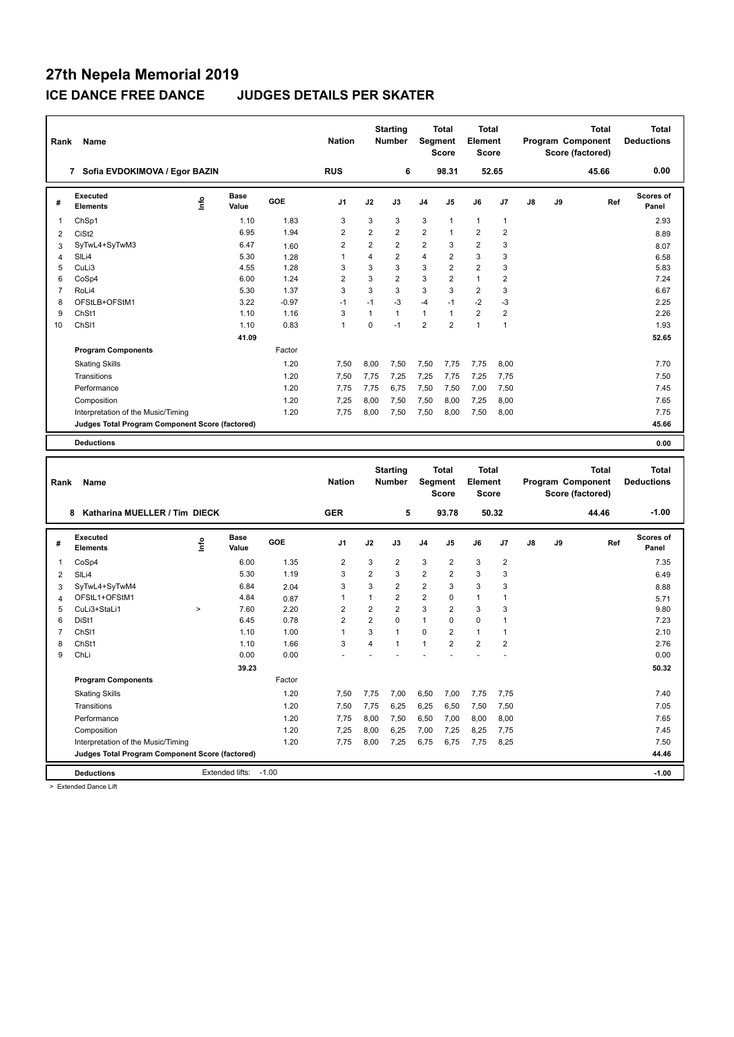| Rank           | Name                                                                 |                          |                       |            | <b>Nation</b>           |                | <b>Starting</b><br><b>Number</b> |                | Total<br><b>Segment</b><br><b>Score</b> | Total<br><b>Element</b><br>Score |                         |    |    | Program Component<br>Score (factored) | <b>Total</b> | <b>Total</b><br><b>Deductions</b> |
|----------------|----------------------------------------------------------------------|--------------------------|-----------------------|------------|-------------------------|----------------|----------------------------------|----------------|-----------------------------------------|----------------------------------|-------------------------|----|----|---------------------------------------|--------------|-----------------------------------|
|                | 7 Sofia EVDOKIMOVA / Egor BAZIN                                      |                          |                       |            | <b>RUS</b>              |                | 6                                |                | 98.31                                   |                                  | 52.65                   |    |    |                                       | 45.66        | 0.00                              |
| #              | Executed<br><b>Elements</b>                                          | $\mathop{\mathsf{Info}}$ | <b>Base</b><br>Value  | <b>GOE</b> | J1                      | J2             | J3                               | J4             | J5                                      | J6                               | J7                      | J8 | J9 |                                       | Ref          | <b>Scores of</b><br>Panel         |
| 1              | ChSp1                                                                |                          | 1.10                  | 1.83       | 3                       | 3              | 3                                | 3              | 1                                       | $\mathbf{1}$                     | 1                       |    |    |                                       |              | 2.93                              |
| $\overline{2}$ | CiSt <sub>2</sub>                                                    |                          | 6.95                  | 1.94       | $\overline{\mathbf{c}}$ | $\overline{2}$ | $\boldsymbol{2}$                 | $\overline{c}$ | 1                                       | $\boldsymbol{2}$                 | $\overline{\mathbf{c}}$ |    |    |                                       |              | 8.89                              |
| 3              | SyTwL4+SyTwM3                                                        |                          | 6.47                  | 1.60       | $\overline{2}$          | $\overline{2}$ | $\overline{2}$                   | $\overline{2}$ | 3                                       | $\overline{2}$                   | 3                       |    |    |                                       |              | 8.07                              |
| 4              | SILi4                                                                |                          | 5.30                  | 1.28       | $\mathbf{1}$            | 4              | $\overline{2}$                   | 4              | $\overline{\mathbf{c}}$                 | 3                                | 3                       |    |    |                                       |              | 6.58                              |
| 5              | CuLi3                                                                |                          | 4.55                  | 1.28       | 3                       | 3              | 3                                | 3              | 2                                       | $\overline{2}$                   | 3                       |    |    |                                       |              | 5.83                              |
| 6              | CoSp4                                                                |                          | 6.00                  | 1.24       | 2                       | 3              | $\overline{2}$                   | 3              | 2                                       | $\mathbf{1}$                     | $\overline{2}$          |    |    |                                       |              | 7.24                              |
| $\overline{7}$ | RoLi4                                                                |                          | 5.30                  | 1.37       | 3                       | 3              | 3                                | 3              | 3                                       | $\overline{2}$                   | 3                       |    |    |                                       |              | 6.67                              |
| 8              | OFStLB+OFStM1                                                        |                          | 3.22                  | $-0.97$    | $-1$                    | $-1$           | $-3$                             | $-4$           | $-1$                                    | $-2$                             | $-3$                    |    |    |                                       |              | 2.25                              |
| 9              | ChSt1                                                                |                          | 1.10                  | 1.16       | 3                       | $\mathbf{1}$   | $\mathbf{1}$                     | 1              | 1                                       | $\mathbf 2$                      | $\overline{\mathbf{c}}$ |    |    |                                       |              | 2.26                              |
| 10             | ChS <sub>11</sub>                                                    |                          | 1.10                  | 0.83       | 1                       | 0              | $-1$                             | $\overline{2}$ | $\overline{2}$                          | $\mathbf{1}$                     | $\mathbf{1}$            |    |    |                                       |              | 1.93                              |
|                |                                                                      |                          | 41.09                 |            |                         |                |                                  |                |                                         |                                  |                         |    |    |                                       |              | 52.65                             |
|                | <b>Program Components</b>                                            |                          |                       | Factor     |                         |                |                                  |                |                                         |                                  |                         |    |    |                                       |              |                                   |
|                | <b>Skating Skills</b>                                                |                          |                       | 1.20       | 7,50                    | 8,00           | 7,50                             | 7,50           | 7,75                                    | 7,75                             | 8,00                    |    |    |                                       |              | 7.70                              |
|                | Transitions                                                          |                          |                       | 1.20       | 7,50                    | 7,75           | 7,25                             | 7,25           | 7,75                                    | 7,25                             | 7,75                    |    |    |                                       |              | 7.50                              |
|                | Performance                                                          |                          |                       | 1.20       | 7,75                    | 7,75           | 6,75                             | 7,50           | 7,50                                    | 7,00                             | 7,50                    |    |    |                                       |              | 7.45                              |
|                | Composition                                                          |                          |                       | 1.20       | 7,25                    | 8,00           | 7,50                             | 7,50           | 8,00                                    | 7,25                             | 8,00                    |    |    |                                       |              | 7.65                              |
|                | Interpretation of the Music/Timing                                   |                          |                       | 1.20       | 7,75                    | 8,00           | 7,50                             | 7,50           | 8,00                                    | 7,50                             | 8,00                    |    |    |                                       |              | 7.75                              |
|                | Judges Total Program Component Score (factored)                      |                          |                       |            |                         |                |                                  |                |                                         |                                  |                         |    |    |                                       |              | 45.66                             |
|                | <b>Deductions</b>                                                    |                          |                       |            |                         |                |                                  |                |                                         |                                  |                         |    |    |                                       |              | 0.00                              |
|                |                                                                      |                          |                       |            |                         |                |                                  |                |                                         |                                  |                         |    |    |                                       |              |                                   |
|                |                                                                      |                          |                       |            |                         |                |                                  |                |                                         |                                  |                         |    |    |                                       |              |                                   |
|                |                                                                      |                          |                       |            |                         |                |                                  |                |                                         |                                  |                         |    |    |                                       |              |                                   |
|                |                                                                      |                          |                       |            |                         |                | <b>Starting</b>                  |                | <b>Total</b>                            | <b>Total</b>                     |                         |    |    |                                       | <b>Total</b> | <b>Total</b>                      |
| Rank           | Name                                                                 |                          |                       |            | <b>Nation</b>           |                | <b>Number</b>                    |                | Segment                                 | <b>Element</b>                   |                         |    |    | Program Component                     |              | <b>Deductions</b>                 |
|                |                                                                      |                          |                       |            |                         |                |                                  |                | <b>Score</b>                            | Score                            |                         |    |    | Score (factored)                      |              |                                   |
|                | 8 Katharina MUELLER / Tim DIECK                                      |                          |                       |            | <b>GER</b>              |                | 5                                |                | 93.78                                   |                                  | 50.32                   |    |    | 44.46                                 |              | $-1.00$                           |
| #              | Executed<br><b>Elements</b>                                          | ١nf٥                     | Base<br>Value         | <b>GOE</b> | J1                      | J2             | J3                               | J4             | J5                                      | J6                               | J7                      | J8 | J9 |                                       | Ref          | <b>Scores of</b><br>Panel         |
| 1              | CoSp4                                                                |                          | 6.00                  | 1.35       | $\overline{2}$          | 3              | 2                                | 3              | $\overline{2}$                          | 3                                | $\overline{\mathbf{c}}$ |    |    |                                       |              | 7.35                              |
|                | SILi4                                                                |                          | 5.30                  | 1.19       | 3                       | $\overline{2}$ | 3                                | $\overline{2}$ | $\overline{2}$                          | 3                                | 3                       |    |    |                                       |              |                                   |
| 2<br>3         | SyTwL4+SyTwM4                                                        |                          | 6.84                  | 2.04       | 3                       | 3              | $\overline{2}$                   | $\overline{2}$ | 3                                       | 3                                | 3                       |    |    |                                       |              | 6.49                              |
| 4              | OFStL1+OFStM1                                                        |                          | 4.84                  | 0.87       | 1                       | $\mathbf{1}$   | $\overline{2}$                   | $\overline{2}$ | 0                                       | $\mathbf{1}$                     | 1                       |    |    |                                       |              | 8.88<br>5.71                      |
| 5              | CuLi3+StaLi1                                                         | $\,$                     | 7.60                  | 2.20       | $\overline{2}$          | $\overline{2}$ | $\overline{2}$                   | 3              | $\overline{2}$                          | 3                                | 3                       |    |    |                                       |              | 9.80                              |
| 6              | DiSt1                                                                |                          | 6.45                  | 0.78       | $\overline{2}$          | 2              | $\mathbf 0$                      | 1              | 0                                       | $\mathbf 0$                      | 1                       |    |    |                                       |              | 7.23                              |
| 7              | ChS <sub>11</sub>                                                    |                          | 1.10                  | 1.00       | $\mathbf{1}$            | 3              | $\mathbf{1}$                     | 0              | $\overline{\mathbf{c}}$                 | $\mathbf{1}$                     | 1                       |    |    |                                       |              | 2.10                              |
| 8              | ChSt1                                                                |                          | 1.10                  | 1.66       | 3                       | 4              | $\mathbf{1}$                     | $\mathbf{1}$   | 2                                       | $\overline{2}$                   | $\overline{2}$          |    |    |                                       |              | 2.76                              |
| 9              | ChLi                                                                 |                          | 0.00                  | 0.00       |                         | ÷              |                                  |                |                                         | $\ddot{\phantom{1}}$             |                         |    |    |                                       |              | 0.00                              |
|                |                                                                      |                          | 39.23                 |            |                         |                |                                  |                |                                         |                                  |                         |    |    |                                       |              | 50.32                             |
|                | <b>Program Components</b>                                            |                          |                       | Factor     |                         |                |                                  |                |                                         |                                  |                         |    |    |                                       |              |                                   |
|                |                                                                      |                          |                       | 1.20       |                         |                |                                  |                |                                         |                                  |                         |    |    |                                       |              | 7.40                              |
|                | <b>Skating Skills</b>                                                |                          |                       |            | 7,50                    | 7,75           | 7,00                             | 6,50           | 7,00                                    | 7,75                             | 7,75                    |    |    |                                       |              |                                   |
|                | Transitions                                                          |                          |                       | 1.20       | 7,50                    | 7,75           | 6,25                             | 6,25           | 6,50                                    | 7,50                             | 7,50                    |    |    |                                       |              | 7.05                              |
|                | Performance                                                          |                          |                       | 1.20       | 7,75                    | 8,00           | 7,50                             | 6,50           | 7,00                                    | 8,00                             | 8,00                    |    |    |                                       |              | 7.65                              |
|                | Composition                                                          |                          |                       | 1.20       | 7,25                    | 8,00           | 6,25                             | 7,00           | 7,25                                    | 8,25                             | 7,75                    |    |    |                                       |              | 7.45                              |
|                | Interpretation of the Music/Timing                                   |                          |                       | 1.20       | 7,75                    | 8,00           | 7,25                             | 6,75           | 6,75                                    | 7,75                             | 8,25                    |    |    |                                       |              | 7.50                              |
|                | Judges Total Program Component Score (factored)<br><b>Deductions</b> |                          | Extended lifts: -1.00 |            |                         |                |                                  |                |                                         |                                  |                         |    |    |                                       |              | 44.46<br>$-1.00$                  |

> Extended Dance Lift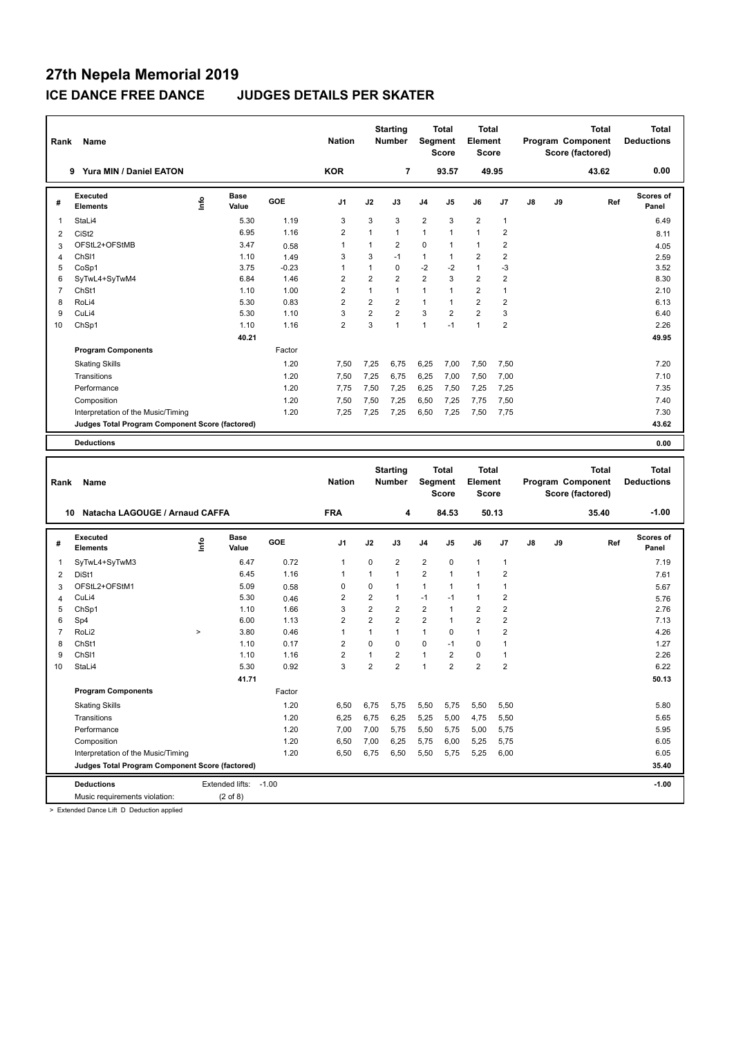| Rank           | Name                                            |      |                       |                 | <b>Nation</b>                  |                                | <b>Starting</b><br><b>Number</b> |                         | <b>Total</b><br>Segment<br>Score | <b>Total</b><br>Element<br><b>Score</b> |                                |    |    | Program Component<br>Score (factored) | Total        | <b>Total</b><br><b>Deductions</b> |
|----------------|-------------------------------------------------|------|-----------------------|-----------------|--------------------------------|--------------------------------|----------------------------------|-------------------------|----------------------------------|-----------------------------------------|--------------------------------|----|----|---------------------------------------|--------------|-----------------------------------|
|                | 9 Yura MIN / Daniel EATON                       |      |                       |                 | <b>KOR</b>                     |                                | 7                                |                         | 93.57                            |                                         | 49.95                          |    |    |                                       | 43.62        | 0.00                              |
| #              | Executed<br><b>Elements</b>                     | ۴o   | <b>Base</b><br>Value  | GOE             | J1                             | J2                             | J3                               | J4                      | J5                               | J6                                      | J7                             | J8 | J9 |                                       | Ref          | Scores of<br>Panel                |
| 1              | StaLi4                                          |      | 5.30                  | 1.19            | 3                              | 3                              | 3                                | $\overline{\mathbf{c}}$ | 3                                | $\overline{2}$                          | 1                              |    |    |                                       |              | 6.49                              |
| 2              | CiSt <sub>2</sub>                               |      | 6.95                  | 1.16            | $\overline{2}$                 | 1                              | $\mathbf{1}$                     | 1                       | 1                                | $\mathbf{1}$                            | $\overline{2}$                 |    |    |                                       |              | 8.11                              |
| 3              | OFStL2+OFStMB                                   |      | 3.47                  | 0.58            | $\mathbf{1}$                   | $\mathbf{1}$                   | $\overline{2}$                   | $\mathbf 0$             | 1                                | $\mathbf{1}$                            | $\overline{\mathbf{c}}$        |    |    |                                       |              | 4.05                              |
| 4              | ChS <sub>11</sub>                               |      | 1.10                  | 1.49            | 3                              | 3                              | $-1$                             | $\mathbf{1}$            | $\mathbf{1}$                     | $\overline{2}$                          | $\overline{2}$                 |    |    |                                       |              | 2.59                              |
| 5<br>6         | CoSp1                                           |      | 3.75<br>6.84          | $-0.23$<br>1.46 | 1<br>$\overline{2}$            | $\mathbf{1}$<br>$\overline{2}$ | $\mathbf 0$<br>$\overline{2}$    | $-2$<br>$\overline{2}$  | -2<br>3                          | $\mathbf{1}$<br>$\overline{2}$          | -3<br>$\overline{2}$           |    |    |                                       |              | 3.52<br>8.30                      |
| $\overline{7}$ | SyTwL4+SyTwM4<br>ChSt1                          |      | 1.10                  | 1.00            | $\overline{2}$                 | $\mathbf{1}$                   | $\overline{1}$                   | $\mathbf{1}$            | $\mathbf{1}$                     | $\overline{2}$                          | $\mathbf{1}$                   |    |    |                                       |              | 2.10                              |
| 8              | RoLi4                                           |      | 5.30                  | 0.83            | $\overline{2}$                 | $\overline{2}$                 | $\overline{2}$                   | $\mathbf{1}$            | 1                                | $\overline{2}$                          | $\overline{\mathbf{c}}$        |    |    |                                       |              | 6.13                              |
| 9              | CuLi4                                           |      | 5.30                  | 1.10            | 3                              | $\overline{2}$                 | $\overline{2}$                   | 3                       | 2                                | $\overline{2}$                          | 3                              |    |    |                                       |              | 6.40                              |
| 10             | ChSp1                                           |      | 1.10                  | 1.16            | $\overline{2}$                 | 3                              | $\mathbf{1}$                     | $\mathbf{1}$            | $-1$                             | $\overline{1}$                          | $\overline{2}$                 |    |    |                                       |              | 2.26                              |
|                |                                                 |      | 40.21                 |                 |                                |                                |                                  |                         |                                  |                                         |                                |    |    |                                       |              | 49.95                             |
|                | <b>Program Components</b>                       |      |                       | Factor          |                                |                                |                                  |                         |                                  |                                         |                                |    |    |                                       |              |                                   |
|                | <b>Skating Skills</b>                           |      |                       | 1.20            | 7,50                           | 7,25                           | 6,75                             | 6,25                    | 7,00                             | 7,50                                    | 7,50                           |    |    |                                       |              | 7.20                              |
|                | Transitions                                     |      |                       | 1.20            | 7,50                           | 7,25                           | 6,75                             | 6,25                    | 7,00                             | 7,50                                    | 7,00                           |    |    |                                       |              | 7.10                              |
|                | Performance                                     |      |                       | 1.20            | 7,75                           | 7,50                           | 7,25                             | 6,25                    | 7,50                             | 7,25                                    | 7,25                           |    |    |                                       |              | 7.35                              |
|                | Composition                                     |      |                       | 1.20            | 7,50                           | 7,50                           | 7,25                             | 6,50                    | 7,25                             | 7,75                                    | 7,50                           |    |    |                                       |              | 7.40                              |
|                | Interpretation of the Music/Timing              |      |                       | 1.20            | 7,25                           | 7,25                           | 7,25                             | 6,50                    | 7,25                             | 7,50                                    | 7,75                           |    |    |                                       |              | 7.30                              |
|                | Judges Total Program Component Score (factored) |      |                       |                 |                                |                                |                                  |                         |                                  |                                         |                                |    |    |                                       |              | 43.62                             |
|                | <b>Deductions</b>                               |      |                       |                 |                                |                                |                                  |                         |                                  |                                         |                                |    |    |                                       |              | 0.00                              |
|                |                                                 |      |                       |                 |                                |                                |                                  |                         |                                  |                                         |                                |    |    |                                       |              |                                   |
|                |                                                 |      |                       |                 |                                |                                |                                  |                         |                                  |                                         |                                |    |    |                                       |              |                                   |
| Rank           | Name                                            |      |                       |                 | <b>Nation</b>                  |                                | <b>Starting</b><br><b>Number</b> |                         | <b>Total</b><br>Segment<br>Score | <b>Total</b><br>Element<br>Score        |                                |    |    | Program Component<br>Score (factored) | <b>Total</b> | <b>Total</b><br><b>Deductions</b> |
|                | Natacha LAGOUGE / Arnaud CAFFA<br>10            |      |                       |                 | <b>FRA</b>                     |                                | 4                                |                         | 84.53                            |                                         | 50.13                          |    |    |                                       | 35.40        | $-1.00$                           |
|                | Executed                                        |      | Base                  |                 |                                |                                |                                  |                         |                                  |                                         |                                |    |    |                                       |              | Scores of                         |
| #              | <b>Elements</b>                                 | ۴ů   | Value                 | GOE             | J1                             | J2                             | J3                               | J4                      | J5                               | J6                                      | J7                             | J8 | J9 |                                       | Ref          | Panel                             |
| 1              | SyTwL4+SyTwM3                                   |      | 6.47                  | 0.72            | $\mathbf{1}$                   | 0                              | $\overline{2}$                   | $\overline{2}$          | 0                                | $\mathbf{1}$                            | $\mathbf{1}$                   |    |    |                                       |              | 7.19                              |
| $\overline{2}$ | DiSt1                                           |      | 6.45                  | 1.16            | 1                              | $\mathbf{1}$                   | $\mathbf{1}$                     | $\overline{2}$          | $\mathbf{1}$                     | $\overline{1}$                          | $\overline{2}$                 |    |    |                                       |              | 7.61                              |
| 3              | OFStL2+OFStM1                                   |      | 5.09                  | 0.58            | $\mathbf 0$                    | 0                              | $\overline{1}$                   | $\mathbf{1}$            | 1                                | $\mathbf{1}$                            | $\mathbf{1}$                   |    |    |                                       |              | 5.67                              |
| 4              | CuLi4                                           |      | 5.30                  | 0.46            | $\overline{2}$                 | $\overline{2}$                 | $\mathbf{1}$                     | $-1$                    | $-1$                             | $\overline{1}$                          | $\overline{2}$                 |    |    |                                       |              | 5.76                              |
| 5              | ChSp1                                           |      | 1.10                  | 1.66            | 3                              | $\overline{2}$                 | $\overline{2}$                   | $\overline{2}$          | 1                                | $\overline{2}$                          | $\overline{\mathbf{c}}$        |    |    |                                       |              | 2.76                              |
| 6              | Sp4                                             |      | 6.00                  | 1.13            | $\overline{\mathbf{c}}$        | $\overline{2}$<br>1            | $\overline{2}$                   | $\boldsymbol{2}$        | 1                                | $\overline{2}$                          | $\overline{\mathbf{c}}$        |    |    |                                       |              | 7.13                              |
| 7<br>8         | RoLi2<br>ChSt1                                  | $\,$ | 3.80<br>1.10          | 0.46<br>0.17    | $\mathbf{1}$<br>$\overline{2}$ | 0                              | $\mathbf{1}$<br>$\mathbf 0$      | 1<br>$\mathbf 0$        | 0<br>$-1$                        | $\mathbf{1}$<br>$\mathbf 0$             | $\overline{2}$<br>$\mathbf{1}$ |    |    |                                       |              | 4.26<br>1.27                      |
| 9              | ChS <sub>11</sub>                               |      | 1.10                  | 1.16            | $\overline{2}$                 | $\mathbf{1}$                   | $\overline{2}$                   | $\mathbf{1}$            | $\overline{2}$                   | $\mathbf 0$                             | $\mathbf{1}$                   |    |    |                                       |              | 2.26                              |
| 10             | StaLi4                                          |      | 5.30                  | 0.92            | 3                              | $\mathfrak{p}$                 | $\mathfrak{p}$                   | $\mathbf{1}$            | $\mathfrak{p}$                   | $\mathfrak{p}$                          | $\mathfrak{p}$                 |    |    |                                       |              | 6.22                              |
|                |                                                 |      | 41.71                 |                 |                                |                                |                                  |                         |                                  |                                         |                                |    |    |                                       |              | 50.13                             |
|                | <b>Program Components</b>                       |      |                       | Factor          |                                |                                |                                  |                         |                                  |                                         |                                |    |    |                                       |              |                                   |
|                | <b>Skating Skills</b>                           |      |                       | 1.20            | 6,50                           | 6,75                           | 5,75                             | 5,50                    | 5,75                             | 5,50                                    | 5,50                           |    |    |                                       |              | 5.80                              |
|                | Transitions                                     |      |                       | 1.20            | 6,25                           | 6,75                           | 6,25                             | 5,25                    | 5,00                             | 4,75                                    | 5,50                           |    |    |                                       |              | 5.65                              |
|                | Performance                                     |      |                       | 1.20            | 7,00                           | 7,00                           | 5,75                             | 5,50                    | 5,75                             | 5,00                                    | 5,75                           |    |    |                                       |              | 5.95                              |
|                | Composition                                     |      |                       | 1.20            | 6,50                           | 7,00                           | 6,25                             | 5,75                    | 6,00                             | 5,25                                    | 5,75                           |    |    |                                       |              | 6.05                              |
|                | Interpretation of the Music/Timing              |      |                       | 1.20            | 6,50                           | 6,75                           | 6,50                             | 5,50                    | 5,75                             | 5,25                                    | 6,00                           |    |    |                                       |              | 6.05                              |
|                | Judges Total Program Component Score (factored) |      |                       |                 |                                |                                |                                  |                         |                                  |                                         |                                |    |    |                                       |              | 35.40                             |
|                | <b>Deductions</b>                               |      | Extended lifts: -1.00 |                 |                                |                                |                                  |                         |                                  |                                         |                                |    |    |                                       |              | $-1.00$                           |

> Extended Dance Lift D Deduction applied